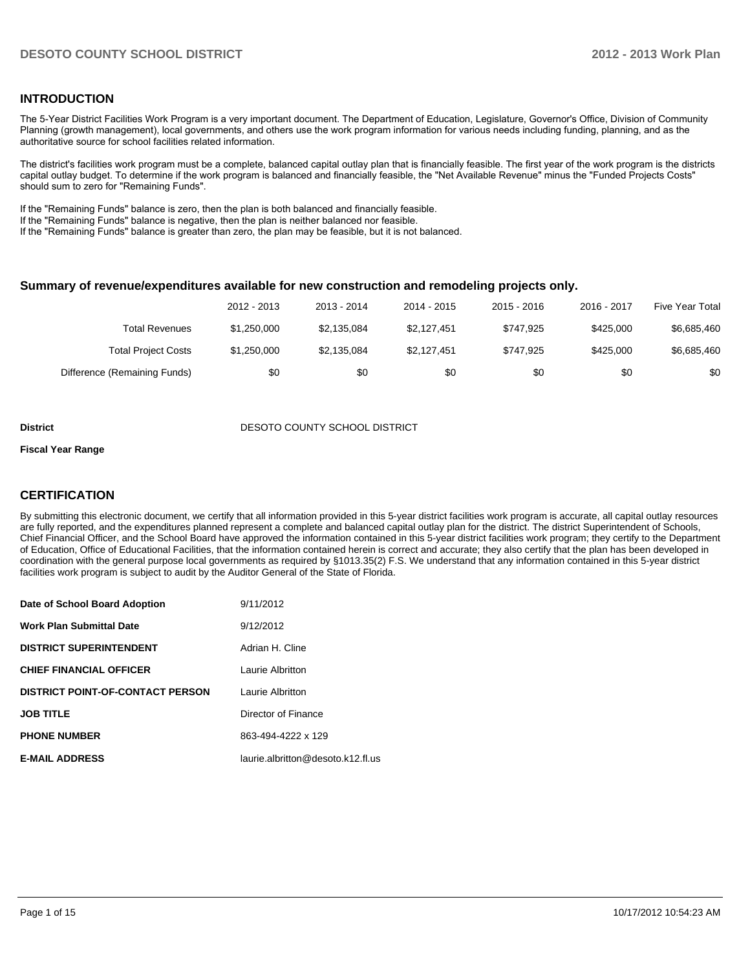## **INTRODUCTION**

The 5-Year District Facilities Work Program is a very important document. The Department of Education, Legislature, Governor's Office, Division of Community Planning (growth management), local governments, and others use the work program information for various needs including funding, planning, and as the authoritative source for school facilities related information.

The district's facilities work program must be a complete, balanced capital outlay plan that is financially feasible. The first year of the work program is the districts capital outlay budget. To determine if the work program is balanced and financially feasible, the "Net Available Revenue" minus the "Funded Projects Costs" should sum to zero for "Remaining Funds".

If the "Remaining Funds" balance is zero, then the plan is both balanced and financially feasible.

If the "Remaining Funds" balance is negative, then the plan is neither balanced nor feasible.

If the "Remaining Funds" balance is greater than zero, the plan may be feasible, but it is not balanced.

### **Summary of revenue/expenditures available for new construction and remodeling projects only.**

|                              | 2012 - 2013 | 2013 - 2014 | 2014 - 2015 | 2015 - 2016 | 2016 - 2017 | Five Year Total |
|------------------------------|-------------|-------------|-------------|-------------|-------------|-----------------|
| Total Revenues               | \$1.250.000 | \$2.135.084 | \$2.127.451 | \$747.925   | \$425,000   | \$6,685,460     |
| <b>Total Project Costs</b>   | \$1.250.000 | \$2.135.084 | \$2.127.451 | \$747.925   | \$425,000   | \$6,685,460     |
| Difference (Remaining Funds) | \$0         | \$0         | \$0         | \$0         | \$0         | \$0             |

#### **District DESOTO COUNTY SCHOOL DISTRICT**

#### **Fiscal Year Range**

## **CERTIFICATION**

By submitting this electronic document, we certify that all information provided in this 5-year district facilities work program is accurate, all capital outlay resources are fully reported, and the expenditures planned represent a complete and balanced capital outlay plan for the district. The district Superintendent of Schools, Chief Financial Officer, and the School Board have approved the information contained in this 5-year district facilities work program; they certify to the Department of Education, Office of Educational Facilities, that the information contained herein is correct and accurate; they also certify that the plan has been developed in coordination with the general purpose local governments as required by §1013.35(2) F.S. We understand that any information contained in this 5-year district facilities work program is subject to audit by the Auditor General of the State of Florida.

| Date of School Board Adoption           | 9/11/2012                         |
|-----------------------------------------|-----------------------------------|
| Work Plan Submittal Date                | 9/12/2012                         |
| <b>DISTRICT SUPERINTENDENT</b>          | Adrian H. Cline                   |
| <b>CHIEF FINANCIAL OFFICER</b>          | Laurie Albritton                  |
| <b>DISTRICT POINT-OF-CONTACT PERSON</b> | Laurie Albritton                  |
| <b>JOB TITLE</b>                        | Director of Finance               |
| <b>PHONE NUMBER</b>                     | 863-494-4222 x 129                |
| <b>E-MAIL ADDRESS</b>                   | laurie.albritton@desoto.k12.fl.us |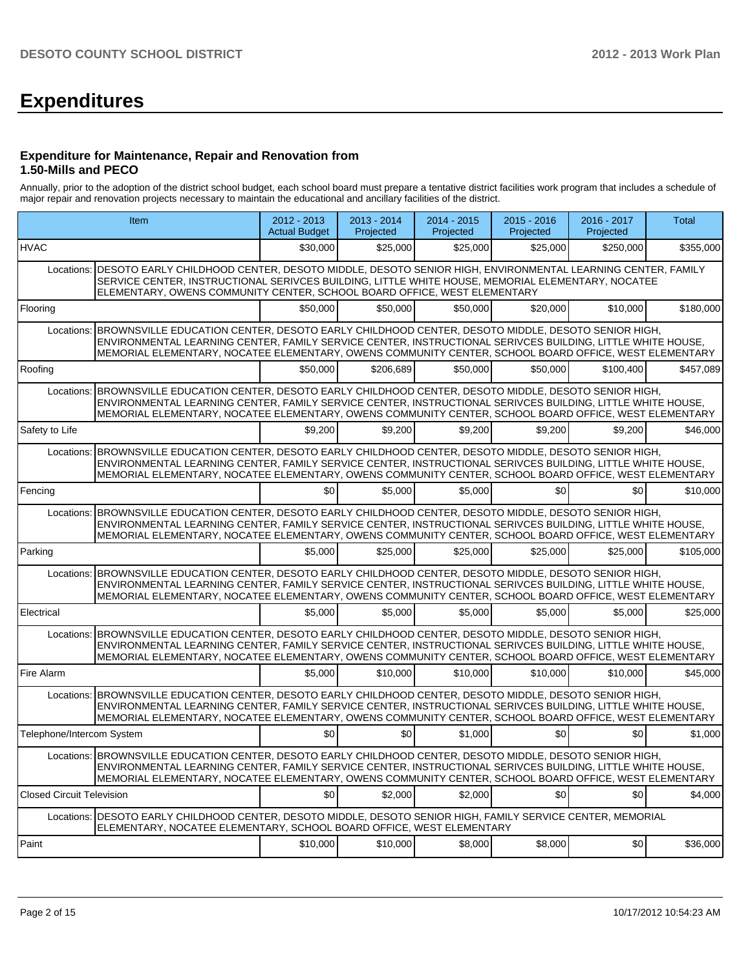# **Expenditures**

### **Expenditure for Maintenance, Repair and Renovation from 1.50-Mills and PECO**

Annually, prior to the adoption of the district school budget, each school board must prepare a tentative district facilities work program that includes a schedule of major repair and renovation projects necessary to maintain the educational and ancillary facilities of the district.

| Item                             |                                                                                                                                                                                                                                                                                                                                   | $2012 - 2013$<br><b>Actual Budget</b> | 2013 - 2014<br>Projected | $2014 - 2015$<br>Projected | $2015 - 2016$<br>Projected | 2016 - 2017<br>Projected | <b>Total</b> |
|----------------------------------|-----------------------------------------------------------------------------------------------------------------------------------------------------------------------------------------------------------------------------------------------------------------------------------------------------------------------------------|---------------------------------------|--------------------------|----------------------------|----------------------------|--------------------------|--------------|
| <b>HVAC</b>                      |                                                                                                                                                                                                                                                                                                                                   | \$30,000                              | \$25,000                 | \$25,000                   | \$25,000                   | \$250,000                | \$355,000    |
| Locations:                       | DESOTO EARLY CHILDHOOD CENTER, DESOTO MIDDLE, DESOTO SENIOR HIGH, ENVIRONMENTAL LEARNING CENTER, FAMILY<br>SERVICE CENTER, INSTRUCTIONAL SERIVCES BUILDING, LITTLE WHITE HOUSE, MEMORIAL ELEMENTARY, NOCATEE<br>ELEMENTARY, OWENS COMMUNITY CENTER, SCHOOL BOARD OFFICE, WEST ELEMENTARY                                          |                                       |                          |                            |                            |                          |              |
| Flooring                         |                                                                                                                                                                                                                                                                                                                                   | \$50,000                              | \$50,000                 | \$50,000                   | \$20,000                   | \$10,000                 | \$180,000    |
| Locations:                       | BROWNSVILLE EDUCATION CENTER, DESOTO EARLY CHILDHOOD CENTER, DESOTO MIDDLE, DESOTO SENIOR HIGH,<br>ENVIRONMENTAL LEARNING CENTER, FAMILY SERVICE CENTER, INSTRUCTIONAL SERIVCES BUILDING, LITTLE WHITE HOUSE,<br>MEMORIAL ELEMENTARY, NOCATEE ELEMENTARY, OWENS COMMUNITY CENTER, SCHOOL BOARD OFFICE, WEST ELEMENTARY            |                                       |                          |                            |                            |                          |              |
| Roofing                          |                                                                                                                                                                                                                                                                                                                                   | \$50,000                              | \$206,689                | \$50,000                   | \$50,000                   | \$100,400                | \$457,089    |
| Locations:                       | BROWNSVILLE EDUCATION CENTER, DESOTO EARLY CHILDHOOD CENTER, DESOTO MIDDLE, DESOTO SENIOR HIGH,<br>ENVIRONMENTAL LEARNING CENTER, FAMILY SERVICE CENTER, INSTRUCTIONAL SERIVCES BUILDING, LITTLE WHITE HOUSE,<br>MEMORIAL ELEMENTARY, NOCATEE ELEMENTARY, OWENS COMMUNITY CENTER, SCHOOL BOARD OFFICE, WEST ELEMENTARY            |                                       |                          |                            |                            |                          |              |
| Safety to Life                   |                                                                                                                                                                                                                                                                                                                                   | \$9,200                               | \$9,200                  | \$9,200                    | \$9,200                    | \$9,200                  | \$46,000     |
| Locations:                       | BROWNSVILLE EDUCATION CENTER, DESOTO EARLY CHILDHOOD CENTER, DESOTO MIDDLE, DESOTO SENIOR HIGH,<br>ENVIRONMENTAL LEARNING CENTER, FAMILY SERVICE CENTER, INSTRUCTIONAL SERIVCES BUILDING, LITTLE WHITE HOUSE,<br>MEMORIAL ELEMENTARY, NOCATEE ELEMENTARY, OWENS COMMUNITY CENTER, SCHOOL BOARD OFFICE, WEST ELEMENTARY            |                                       |                          |                            |                            |                          |              |
| Fencing                          |                                                                                                                                                                                                                                                                                                                                   | \$0                                   | \$5,000                  | \$5,000                    | \$0                        | \$0                      | \$10,000     |
| Locations:                       | BROWNSVILLE EDUCATION CENTER, DESOTO EARLY CHILDHOOD CENTER, DESOTO MIDDLE, DESOTO SENIOR HIGH,<br>ENVIRONMENTAL LEARNING CENTER, FAMILY SERVICE CENTER, INSTRUCTIONAL SERIVCES BUILDING, LITTLE WHITE HOUSE,<br>MEMORIAL ELEMENTARY, NOCATEE ELEMENTARY, OWENS COMMUNITY CENTER, SCHOOL BOARD OFFICE, WEST ELEMENTARY            |                                       |                          |                            |                            |                          |              |
| Parking                          |                                                                                                                                                                                                                                                                                                                                   | \$5,000                               | \$25,000                 | \$25,000                   | \$25,000                   | \$25,000                 | \$105,000    |
|                                  | Locations: BROWNSVILLE EDUCATION CENTER, DESOTO EARLY CHILDHOOD CENTER, DESOTO MIDDLE, DESOTO SENIOR HIGH,<br>ENVIRONMENTAL LEARNING CENTER, FAMILY SERVICE CENTER, INSTRUCTIONAL SERIVCES BUILDING, LITTLE WHITE HOUSE,<br>MEMORIAL ELEMENTARY, NOCATEE ELEMENTARY, OWENS COMMUNITY CENTER, SCHOOL BOARD OFFICE, WEST ELEMENTARY |                                       |                          |                            |                            |                          |              |
| Electrical                       |                                                                                                                                                                                                                                                                                                                                   | \$5,000                               | \$5,000                  | \$5.000                    | \$5,000                    | \$5,000                  | \$25,000     |
| Locations:                       | BROWNSVILLE EDUCATION CENTER, DESOTO EARLY CHILDHOOD CENTER, DESOTO MIDDLE, DESOTO SENIOR HIGH,<br>ENVIRONMENTAL LEARNING CENTER, FAMILY SERVICE CENTER, INSTRUCTIONAL SERIVCES BUILDING, LITTLE WHITE HOUSE,<br>MEMORIAL ELEMENTARY, NOCATEE ELEMENTARY, OWENS COMMUNITY CENTER, SCHOOL BOARD OFFICE, WEST ELEMENTARY            |                                       |                          |                            |                            |                          |              |
| Fire Alarm                       |                                                                                                                                                                                                                                                                                                                                   | \$5,000                               | \$10,000                 | \$10,000                   | \$10,000                   | \$10,000                 | \$45,000     |
|                                  | Locations: BROWNSVILLE EDUCATION CENTER, DESOTO EARLY CHILDHOOD CENTER, DESOTO MIDDLE, DESOTO SENIOR HIGH,<br>ENVIRONMENTAL LEARNING CENTER, FAMILY SERVICE CENTER, INSTRUCTIONAL SERIVCES BUILDING, LITTLE WHITE HOUSE,<br>MEMORIAL ELEMENTARY, NOCATEE ELEMENTARY, OWENS COMMUNITY CENTER, SCHOOL BOARD OFFICE, WEST ELEMENTARY |                                       |                          |                            |                            |                          |              |
| Telephone/Intercom System        |                                                                                                                                                                                                                                                                                                                                   | \$0                                   | \$0                      | \$1,000                    | \$0 <sub>1</sub>           | \$0                      | \$1,000      |
|                                  | Locations: BROWNSVILLE EDUCATION CENTER, DESOTO EARLY CHILDHOOD CENTER, DESOTO MIDDLE, DESOTO SENIOR HIGH,<br>ENVIRONMENTAL LEARNING CENTER, FAMILY SERVICE CENTER, INSTRUCTIONAL SERIVCES BUILDING, LITTLE WHITE HOUSE,<br>MEMORIAL ELEMENTARY. NOCATEE ELEMENTARY. OWENS COMMUNITY CENTER. SCHOOL BOARD OFFICE. WEST ELEMENTARY |                                       |                          |                            |                            |                          |              |
| <b>Closed Circuit Television</b> |                                                                                                                                                                                                                                                                                                                                   | \$0                                   | \$2,000                  | \$2,000                    | \$0                        | \$0                      | \$4,000      |
| Locations:                       | DESOTO EARLY CHILDHOOD CENTER, DESOTO MIDDLE, DESOTO SENIOR HIGH, FAMILY SERVICE CENTER, MEMORIAL<br>ELEMENTARY, NOCATEE ELEMENTARY, SCHOOL BOARD OFFICE, WEST ELEMENTARY                                                                                                                                                         |                                       |                          |                            |                            |                          |              |
| Paint                            |                                                                                                                                                                                                                                                                                                                                   | \$10,000                              | \$10,000                 | \$8,000                    | \$8,000                    | \$0                      | \$36,000     |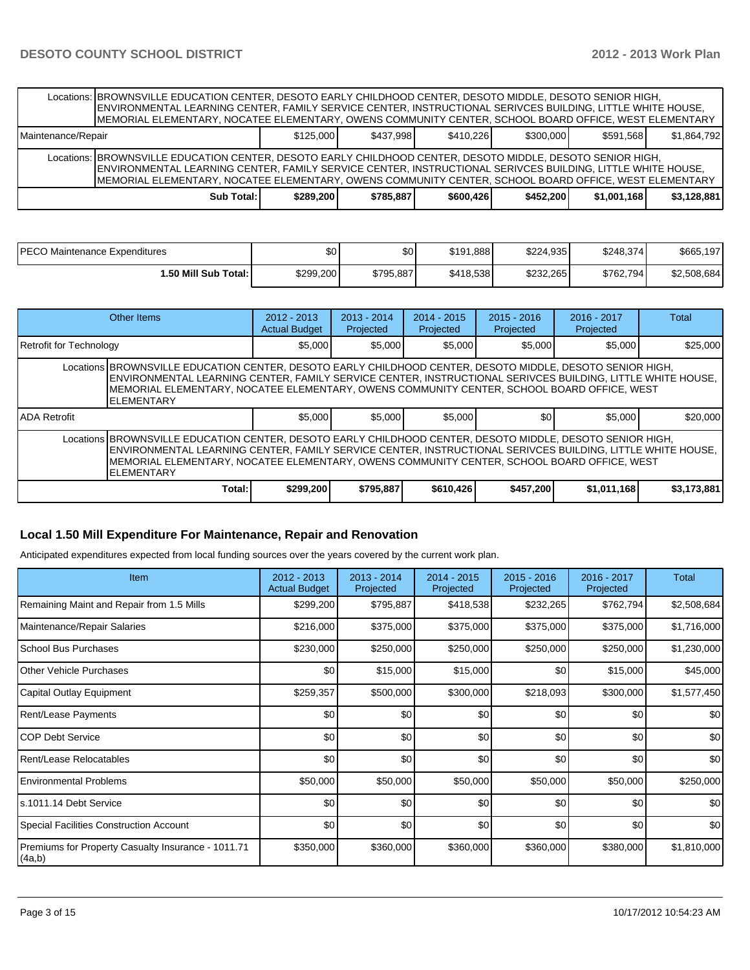|                    | Locations: BROWNSVILLE EDUCATION CENTER, DESOTO EARLY CHILDHOOD CENTER, DESOTO MIDDLE, DESOTO SENIOR HIGH,<br>ENVIRONMENTAL LEARNING CENTER, FAMILY SERVICE CENTER, INSTRUCTIONAL SERIVCES BUILDING, LITTLE WHITE HOUSE,<br>MEMORIAL ELEMENTARY, NOCATEE ELEMENTARY, OWENS COMMUNITY CENTER, SCHOOL BOARD OFFICE, WEST ELEMENTARY  |           |           |           |           |             |             |
|--------------------|------------------------------------------------------------------------------------------------------------------------------------------------------------------------------------------------------------------------------------------------------------------------------------------------------------------------------------|-----------|-----------|-----------|-----------|-------------|-------------|
| Maintenance/Repair |                                                                                                                                                                                                                                                                                                                                    | \$125,000 | \$437.998 | \$410.226 | \$300.000 | \$591.568   | \$1.864.792 |
|                    | Locations: BROWNSVILLE EDUCATION CENTER, DESOTO EARLY CHILDHOOD CENTER, DESOTO MIDDLE, DESOTO SENIOR HIGH,<br>ENVIRONMENTAL LEARNING CENTER, FAMILY SERVICE CENTER, INSTRUCTIONAL SERIVCES BUILDING, LITTLE WHITE HOUSE,<br>IMEMORIAL ELEMENTARY. NOCATEE ELEMENTARY. OWENS COMMUNITY CENTER. SCHOOL BOARD OFFICE. WEST ELEMENTARY |           |           |           |           |             |             |
|                    | Sub Total: I                                                                                                                                                                                                                                                                                                                       | \$289.200 | \$785.887 | \$600,426 | \$452,200 | \$1,001.168 | \$3,128,881 |

| IPECO Maintenance Expenditures | \$0       | \$0       | \$191.888 | \$224.935 | \$248.374] | \$665,197   |
|--------------------------------|-----------|-----------|-----------|-----------|------------|-------------|
| 1.50 Mill Sub Total: I         | \$299.200 | \$795.887 | \$418.538 | \$232.265 | \$762,794  | \$2,508,684 |

| Other Items                                                                                                                                                                                                                                                                                                                                |        | $2012 - 2013$<br><b>Actual Budget</b> | $2013 - 2014$<br>Projected | $2014 - 2015$<br>Projected | $2015 - 2016$<br>Projected | 2016 - 2017<br>Projected | Total       |  |  |
|--------------------------------------------------------------------------------------------------------------------------------------------------------------------------------------------------------------------------------------------------------------------------------------------------------------------------------------------|--------|---------------------------------------|----------------------------|----------------------------|----------------------------|--------------------------|-------------|--|--|
| Retrofit for Technology                                                                                                                                                                                                                                                                                                                    |        | \$5,000                               | \$5,000                    | \$5,000                    | \$5,000                    | \$5,000                  | \$25,000    |  |  |
| Locations BROWNSVILLE EDUCATION CENTER, DESOTO EARLY CHILDHOOD CENTER, DESOTO MIDDLE, DESOTO SENIOR HIGH,<br>ENVIRONMENTAL LEARNING CENTER, FAMILY SERVICE CENTER, INSTRUCTIONAL SERIVCES BUILDING, LITTLE WHITE HOUSE,<br>MEMORIAL ELEMENTARY, NOCATEE ELEMENTARY, OWENS COMMUNITY CENTER, SCHOOL BOARD OFFICE, WEST<br><b>ELEMENTARY</b> |        |                                       |                            |                            |                            |                          |             |  |  |
| <b>IADA Retrofit</b>                                                                                                                                                                                                                                                                                                                       |        | \$5.000                               | \$5,000                    | \$5,000                    | \$0 <sub>1</sub>           | \$5,000                  | \$20,000    |  |  |
| Locations BROWNSVILLE EDUCATION CENTER, DESOTO EARLY CHILDHOOD CENTER, DESOTO MIDDLE, DESOTO SENIOR HIGH,<br>ENVIRONMENTAL LEARNING CENTER, FAMILY SERVICE CENTER, INSTRUCTIONAL SERIVCES BUILDING, LITTLE WHITE HOUSE,<br>MEMORIAL ELEMENTARY. NOCATEE ELEMENTARY. OWENS COMMUNITY CENTER. SCHOOL BOARD OFFICE. WEST<br><b>ELEMENTARY</b> |        |                                       |                            |                            |                            |                          |             |  |  |
|                                                                                                                                                                                                                                                                                                                                            | Total: | \$299,200                             | \$795,887                  | \$610,426                  | \$457,200                  | \$1,011,168              | \$3,173,881 |  |  |

## **Local 1.50 Mill Expenditure For Maintenance, Repair and Renovation**

Anticipated expenditures expected from local funding sources over the years covered by the current work plan.

| <b>Item</b>                                                  | 2012 - 2013<br><b>Actual Budget</b> | $2013 - 2014$<br>Projected | 2014 - 2015<br>Projected | $2015 - 2016$<br>Projected | 2016 - 2017<br>Projected | Total            |
|--------------------------------------------------------------|-------------------------------------|----------------------------|--------------------------|----------------------------|--------------------------|------------------|
| Remaining Maint and Repair from 1.5 Mills                    | \$299,200                           | \$795,887                  | \$418,538                | \$232,265                  | \$762,794                | \$2,508,684      |
| Maintenance/Repair Salaries                                  | \$216,000                           | \$375,000                  | \$375,000                | \$375,000                  | \$375,000                | \$1,716,000      |
| School Bus Purchases                                         | \$230,000                           | \$250,000                  | \$250,000                | \$250,000                  | \$250,000                | \$1,230,000      |
| <b>Other Vehicle Purchases</b>                               | \$0                                 | \$15,000                   | \$15,000                 | \$0                        | \$15,000                 | \$45,000         |
| Capital Outlay Equipment                                     | \$259,357                           | \$500,000                  | \$300,000                | \$218,093                  | \$300,000                | \$1,577,450      |
| <b>Rent/Lease Payments</b>                                   | \$0 <sub>1</sub>                    | \$0                        | \$0                      | \$0                        | \$0                      | \$0              |
| ICOP Debt Service                                            | \$0                                 | \$0                        | \$0                      | \$0                        | \$0                      | \$0              |
| Rent/Lease Relocatables                                      | \$0                                 | \$0                        | \$0                      | \$0                        | \$0                      | \$0              |
| <b>Environmental Problems</b>                                | \$50,000                            | \$50,000                   | \$50,000                 | \$50,000                   | \$50,000                 | \$250,000        |
| ls.1011.14 Debt Service                                      | \$0 <sub>1</sub>                    | \$0                        | \$0                      | \$0                        | \$0                      | \$0 <sub>1</sub> |
| <b>Special Facilities Construction Account</b>               | \$0                                 | \$0                        | \$0                      | \$0                        | \$0                      | \$0              |
| Premiums for Property Casualty Insurance - 1011.71<br>(4a,b) | \$350,000                           | \$360,000                  | \$360,000                | \$360,000                  | \$380,000                | \$1,810,000      |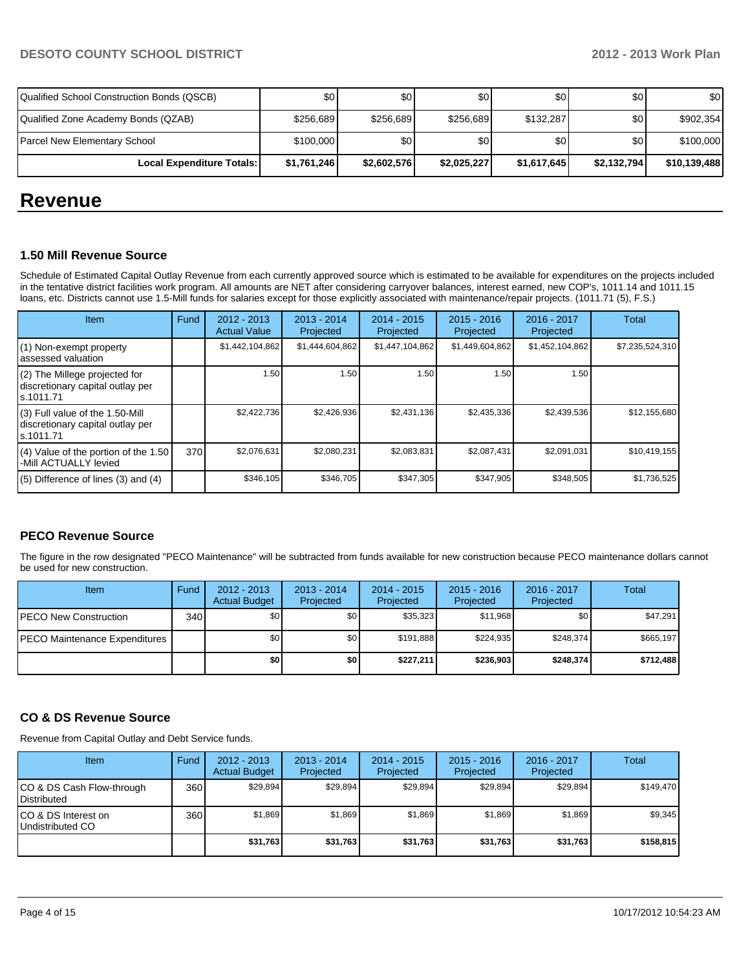| Qualified School Construction Bonds (QSCB) | \$0         | \$0         | \$0         | \$0              | \$0         | \$0          |
|--------------------------------------------|-------------|-------------|-------------|------------------|-------------|--------------|
| Qualified Zone Academy Bonds (QZAB)        | \$256,689   | \$256,689   | \$256,689   | \$132,287        | \$0         | \$902.354    |
| Parcel New Elementary School               | \$100,000   | \$0         | \$0         | \$0 <sub>1</sub> | \$0         | \$100,000    |
| Local Expenditure Totals:                  | \$1,761,246 | \$2,602,576 | \$2,025,227 | \$1,617,645      | \$2,132,794 | \$10,139,488 |

## **Revenue**

## **1.50 Mill Revenue Source**

Schedule of Estimated Capital Outlay Revenue from each currently approved source which is estimated to be available for expenditures on the projects included in the tentative district facilities work program. All amounts are NET after considering carryover balances, interest earned, new COP's, 1011.14 and 1011.15 loans, etc. Districts cannot use 1.5-Mill funds for salaries except for those explicitly associated with maintenance/repair projects. (1011.71 (5), F.S.)

| Item                                                                                | Fund | $2012 - 2013$<br><b>Actual Value</b> | $2013 - 2014$<br>Projected | $2014 - 2015$<br>Projected | $2015 - 2016$<br>Projected | 2016 - 2017<br>Projected | Total           |
|-------------------------------------------------------------------------------------|------|--------------------------------------|----------------------------|----------------------------|----------------------------|--------------------------|-----------------|
| $(1)$ Non-exempt property<br>lassessed valuation                                    |      | \$1,442,104,862                      | \$1,444,604,862            | \$1,447,104,862            | \$1,449,604,862            | \$1,452,104,862          | \$7,235,524,310 |
| (2) The Millege projected for<br>discretionary capital outlay per<br>ls.1011.71     |      | 1.50                                 | 1.50                       | 1.50                       | 1.50                       | 1.50                     |                 |
| $(3)$ Full value of the 1.50-Mill<br>discretionary capital outlay per<br>ls.1011.71 |      | \$2,422,736                          | \$2,426,936                | \$2,431,136                | \$2,435,336                | \$2,439,536              | \$12,155,680    |
| (4) Value of the portion of the 1.50<br>I-Mill ACTUALLY levied                      | 370  | \$2,076,631                          | \$2,080,231                | \$2,083,831                | \$2,087,431                | \$2,091,031              | \$10,419,155    |
| $(5)$ Difference of lines (3) and (4)                                               |      | \$346,105                            | \$346,705                  | \$347,305                  | \$347,905                  | \$348,505                | \$1,736,525     |

## **PECO Revenue Source**

The figure in the row designated "PECO Maintenance" will be subtracted from funds available for new construction because PECO maintenance dollars cannot be used for new construction.

| <b>Item</b>                   | Fund | $2012 - 2013$<br><b>Actual Budget</b> | $2013 - 2014$<br>Projected | $2014 - 2015$<br>Projected | $2015 - 2016$<br>Projected | $2016 - 2017$<br>Projected | Total     |
|-------------------------------|------|---------------------------------------|----------------------------|----------------------------|----------------------------|----------------------------|-----------|
| PECO New Construction         | 340  | \$0                                   | \$0                        | \$35.323                   | \$11,968                   | \$0                        | \$47,291  |
| PECO Maintenance Expenditures |      | \$0                                   | \$0                        | \$191.888                  | \$224.935                  | \$248,374                  | \$665.197 |
|                               |      | \$0                                   | \$0                        | \$227,211                  | \$236,903                  | \$248,374                  | \$712,488 |

## **CO & DS Revenue Source**

Revenue from Capital Outlay and Debt Service funds.

| Item                                               | Fund | $2012 - 2013$<br><b>Actual Budget</b> | $2013 - 2014$<br>Projected | $2014 - 2015$<br>Projected | $2015 - 2016$<br>Projected | 2016 - 2017<br>Projected | Total     |
|----------------------------------------------------|------|---------------------------------------|----------------------------|----------------------------|----------------------------|--------------------------|-----------|
| ICO & DS Cash Flow-through<br><b>I</b> Distributed | 360  | \$29.894                              | \$29.894                   | \$29.894                   | \$29,894                   | \$29,894                 | \$149,470 |
| ICO & DS Interest on<br>Undistributed CO           | 360  | \$1.869                               | \$1,869                    | \$1.869                    | \$1.869                    | \$1,869                  | \$9,345   |
|                                                    |      | \$31,763                              | \$31,763                   | \$31,763                   | \$31,763                   | \$31,763                 | \$158,815 |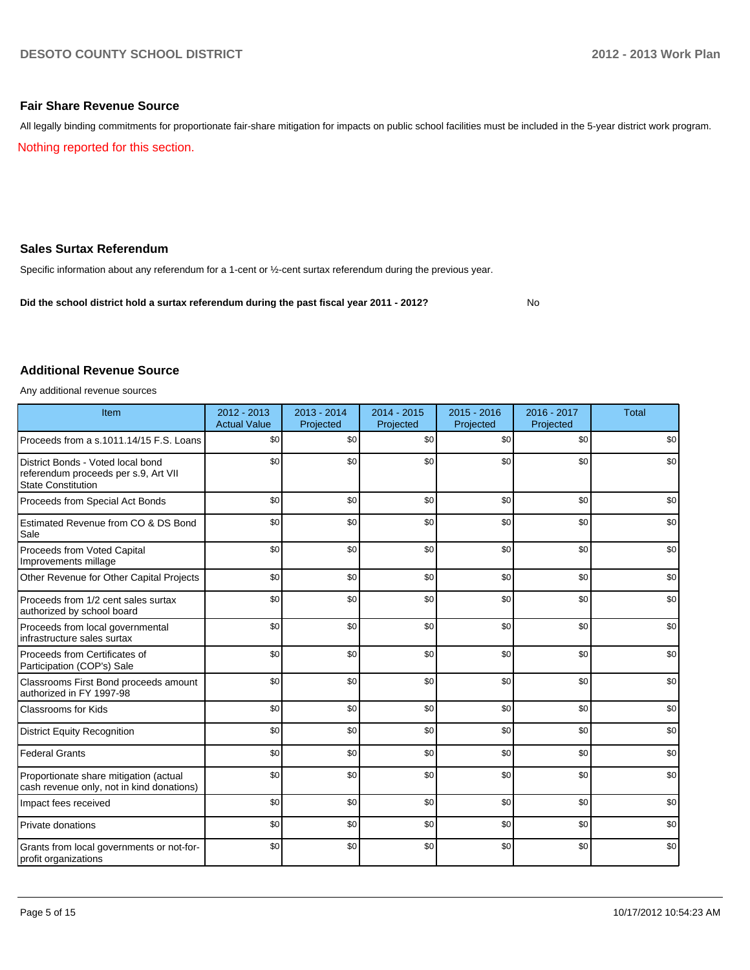### **Fair Share Revenue Source**

All legally binding commitments for proportionate fair-share mitigation for impacts on public school facilities must be included in the 5-year district work program.

Nothing reported for this section.

## **Sales Surtax Referendum**

Specific information about any referendum for a 1-cent or ½-cent surtax referendum during the previous year.

**Did the school district hold a surtax referendum during the past fiscal year 2011 - 2012?**

No

## **Additional Revenue Source**

Any additional revenue sources

| Item                                                                                                   | $2012 - 2013$<br><b>Actual Value</b> | 2013 - 2014<br>Projected | 2014 - 2015<br>Projected | $2015 - 2016$<br>Projected | 2016 - 2017<br>Projected | <b>Total</b> |
|--------------------------------------------------------------------------------------------------------|--------------------------------------|--------------------------|--------------------------|----------------------------|--------------------------|--------------|
| Proceeds from a s.1011.14/15 F.S. Loans                                                                | \$0                                  | \$0                      | \$0                      | \$0                        | \$0                      | \$0          |
| District Bonds - Voted local bond<br>referendum proceeds per s.9, Art VII<br><b>State Constitution</b> | \$0                                  | \$0                      | \$0                      | \$0                        | \$0                      | \$0          |
| Proceeds from Special Act Bonds                                                                        | \$0                                  | \$0                      | \$0                      | \$0                        | \$0                      | \$0          |
| Estimated Revenue from CO & DS Bond<br>Sale                                                            | \$0                                  | \$0                      | \$0                      | \$0                        | \$0                      | \$0          |
| Proceeds from Voted Capital<br>Improvements millage                                                    | \$0                                  | \$0                      | \$0                      | \$0                        | \$0                      | \$0          |
| Other Revenue for Other Capital Projects                                                               | \$0                                  | \$0                      | \$0                      | \$0                        | \$0                      | \$0          |
| Proceeds from 1/2 cent sales surtax<br>authorized by school board                                      | \$0                                  | \$0                      | \$0                      | \$0                        | \$0                      | \$0          |
| Proceeds from local governmental<br>infrastructure sales surtax                                        | \$0                                  | \$0                      | \$0                      | \$0                        | \$0                      | \$0          |
| Proceeds from Certificates of<br>Participation (COP's) Sale                                            | \$0                                  | \$0                      | \$0                      | \$0                        | \$0                      | \$0          |
| Classrooms First Bond proceeds amount<br>authorized in FY 1997-98                                      | \$0                                  | \$0                      | \$0                      | \$0                        | \$0                      | \$0          |
| <b>Classrooms for Kids</b>                                                                             | \$0                                  | \$0                      | \$0                      | \$0                        | \$0                      | \$0          |
| <b>District Equity Recognition</b>                                                                     | \$0                                  | \$0                      | \$0                      | \$0                        | \$0                      | \$0          |
| <b>Federal Grants</b>                                                                                  | \$0                                  | \$0                      | \$0                      | \$0                        | \$0                      | \$0          |
| Proportionate share mitigation (actual<br>cash revenue only, not in kind donations)                    | \$0                                  | \$0                      | \$0                      | \$0                        | \$0                      | \$0          |
| Impact fees received                                                                                   | \$0                                  | \$0                      | \$0                      | \$0                        | \$0                      | \$0          |
| Private donations                                                                                      | \$0                                  | \$0                      | \$0                      | \$0                        | \$0                      | \$0          |
| Grants from local governments or not-for-<br>profit organizations                                      | \$0                                  | \$0                      | \$0                      | \$0                        | \$0                      | \$0          |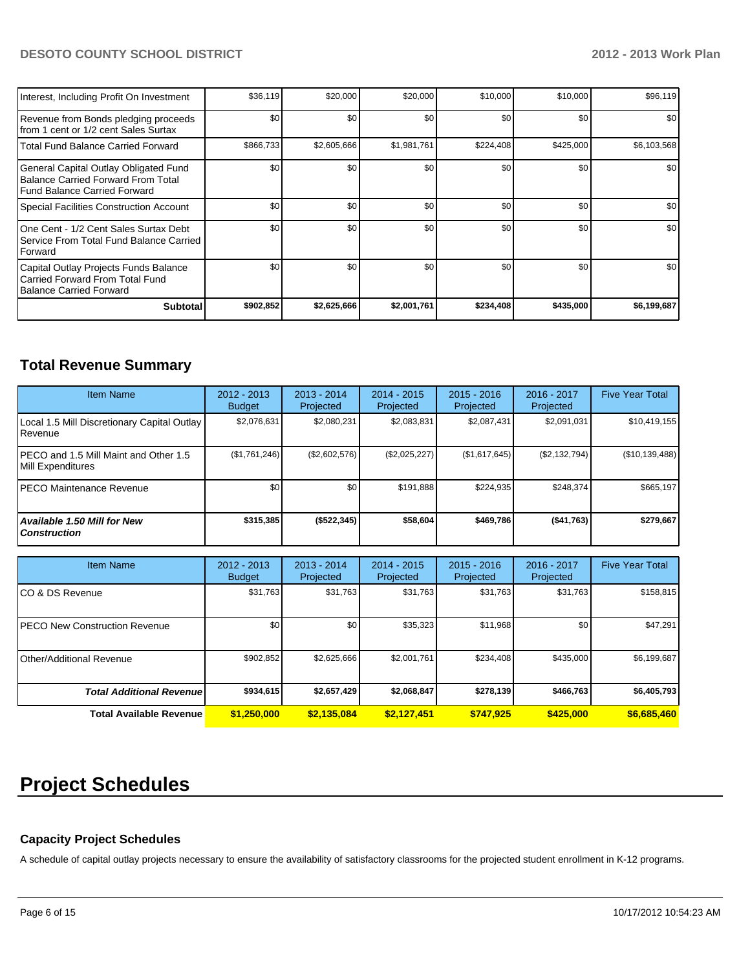## **DESOTO COUNTY SCHOOL DISTRICT 2012 - 2013 Work Plan**

| Interest, Including Profit On Investment                                                                             | \$36,119  | \$20,000    | \$20,000    | \$10,000  | \$10,000  | \$96,119         |
|----------------------------------------------------------------------------------------------------------------------|-----------|-------------|-------------|-----------|-----------|------------------|
| Revenue from Bonds pledging proceeds<br>Ifrom 1 cent or 1/2 cent Sales Surtax                                        | \$0       | \$0         | \$0         | \$0       | \$0       | \$0              |
| Total Fund Balance Carried Forward                                                                                   | \$866,733 | \$2,605,666 | \$1,981,761 | \$224,408 | \$425,000 | \$6,103,568      |
| General Capital Outlay Obligated Fund<br><b>Balance Carried Forward From Total</b><br>l Fund Balance Carried Forward | \$0       | \$0         | \$0         | \$0       | \$0       | \$0 <sub>1</sub> |
| Special Facilities Construction Account                                                                              | \$0       | \$0         | \$0         | \$0       | \$0       | \$0              |
| IOne Cent - 1/2 Cent Sales Surtax Debt<br>l Service From Total Fund Balance Carried<br><b>IForward</b>               | \$0       | \$0         | \$0         | \$0       | \$0       | \$0              |
| Capital Outlay Projects Funds Balance<br>Carried Forward From Total Fund<br>Balance Carried Forward                  | \$0       | \$0         | \$0         | \$0       | \$0       | \$0              |
| <b>Subtotal</b>                                                                                                      | \$902,852 | \$2,625,666 | \$2,001,761 | \$234,408 | \$435,000 | \$6,199,687      |

## **Total Revenue Summary**

| <b>Item Name</b>                                            | $2012 - 2013$<br><b>Budget</b> | $2013 - 2014$<br>Projected | $2014 - 2015$<br>Projected | $2015 - 2016$<br>Projected | $2016 - 2017$<br>Projected | <b>Five Year Total</b> |
|-------------------------------------------------------------|--------------------------------|----------------------------|----------------------------|----------------------------|----------------------------|------------------------|
| Local 1.5 Mill Discretionary Capital Outlay<br>l Revenue    | \$2.076.631                    | \$2,080,231                | \$2,083,831                | \$2,087,431                | \$2,091,031                | \$10,419,155           |
| IPECO and 1.5 Mill Maint and Other 1.5<br>Mill Expenditures | (S1,761,246)                   | (\$2,602,576)              | (\$2,025,227)              | (\$1,617,645)              | (S2, 132, 794)             | (\$10,139,488)         |
| IPECO Maintenance Revenue                                   | \$0                            | \$0                        | \$191.888                  | \$224.935                  | \$248.374                  | \$665,197              |
| Available 1.50 Mill for New l<br>l Construction             | \$315,385                      | ( \$522, 345)              | \$58,604                   | \$469.786                  | ( \$41,763]                | \$279,667              |

| <b>Item Name</b>                 | $2012 - 2013$<br><b>Budget</b> | $2013 - 2014$<br>Projected | $2014 - 2015$<br>Projected | $2015 - 2016$<br>Projected | $2016 - 2017$<br>Projected | <b>Five Year Total</b> |
|----------------------------------|--------------------------------|----------------------------|----------------------------|----------------------------|----------------------------|------------------------|
| ICO & DS Revenue                 | \$31,763                       | \$31,763                   | \$31,763                   | \$31,763                   | \$31,763                   | \$158,815              |
| IPECO New Construction Revenue   | \$0                            | \$0                        | \$35,323                   | \$11,968                   | \$0 <sub>1</sub>           | \$47,291               |
| Other/Additional Revenue         | \$902,852                      | \$2,625,666                | \$2,001,761                | \$234,408                  | \$435,000                  | \$6,199,687            |
| <b>Total Additional Revenuel</b> | \$934,615                      | \$2,657,429                | \$2,068,847                | \$278,139                  | \$466,763                  | \$6,405,793            |
| Total Available Revenue          | \$1,250,000                    | \$2,135,084                | \$2,127,451                | \$747.925                  | \$425,000                  | \$6,685,460            |

# **Project Schedules**

## **Capacity Project Schedules**

A schedule of capital outlay projects necessary to ensure the availability of satisfactory classrooms for the projected student enrollment in K-12 programs.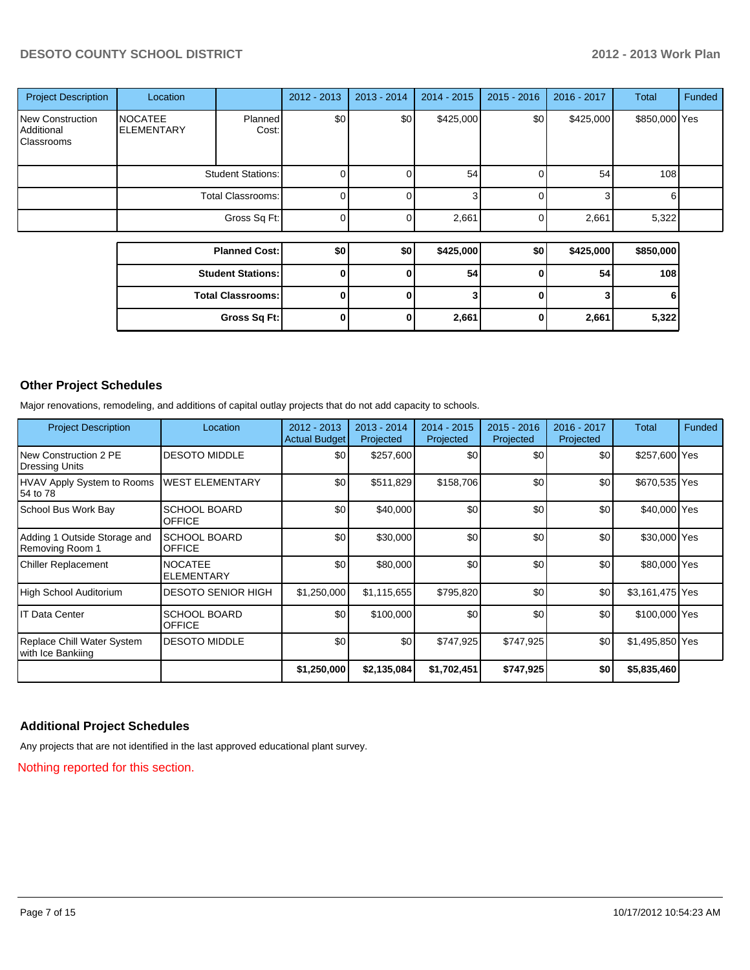## **DESOTO COUNTY SCHOOL DISTRICT 2012 - 2013 Work Plan**

| <b>Project Description</b>                          | Location                            |                          | $2012 - 2013$ | $2013 - 2014$ | $2014 - 2015$ | $2015 - 2016$ | $2016 - 2017$ | <b>Total</b>     | <b>Funded</b> |
|-----------------------------------------------------|-------------------------------------|--------------------------|---------------|---------------|---------------|---------------|---------------|------------------|---------------|
| <b>New Construction</b><br>Additional<br>Classrooms | <b>NOCATEE</b><br><b>ELEMENTARY</b> | Planned<br>Cost:         | \$0           | \$0           | \$425,000     | \$0           | \$425,000     | \$850,000 Yes    |               |
|                                                     | <b>Student Stations:</b>            |                          | 0             |               | 54            |               | 54            | 108 <sup>1</sup> |               |
|                                                     | <b>Total Classrooms:</b>            |                          | 0             |               | 3             | ი             | 3             | 6                |               |
|                                                     | Gross Sq Ft:                        |                          | 0             |               | 2,661         | U             | 2,661         | 5,322            |               |
|                                                     |                                     |                          |               |               |               |               |               |                  |               |
|                                                     |                                     | <b>Planned Cost:</b>     | \$0           | \$0           | \$425,000     | \$0           | \$425,000     | \$850,000        |               |
|                                                     | <b>Student Stations:</b>            |                          | $\mathbf{0}$  | <sup>0</sup>  | 54            | $\mathbf{0}$  | 54            | 108              |               |
|                                                     |                                     | <b>Total Classrooms:</b> | 0             |               | 3             | O             | 3             |                  |               |
|                                                     |                                     | Gross Sq Ft:             | 0             |               | 2,661         | 0             | 2,661         | 5,322            |               |

## **Other Project Schedules**

Major renovations, remodeling, and additions of capital outlay projects that do not add capacity to schools.

| <b>Project Description</b>                      | Location                             | $2012 - 2013$<br><b>Actual Budget</b> | $2013 - 2014$<br>Projected | 2014 - 2015<br>Projected | $2015 - 2016$<br>Projected | 2016 - 2017<br>Projected | Total           | Funded |
|-------------------------------------------------|--------------------------------------|---------------------------------------|----------------------------|--------------------------|----------------------------|--------------------------|-----------------|--------|
| New Construction 2 PE<br><b>Dressing Units</b>  | <b>DESOTO MIDDLE</b>                 | \$0                                   | \$257,600                  | \$0                      | \$0                        | \$0                      | \$257,600 Yes   |        |
| <b>HVAV Apply System to Rooms</b><br>54 to 78   | <b>WEST ELEMENTARY</b>               | \$0                                   | \$511,829                  | \$158,706                | \$0                        | \$0                      | \$670,535 Yes   |        |
| School Bus Work Bay                             | <b>SCHOOL BOARD</b><br><b>OFFICE</b> | \$0                                   | \$40,000                   | \$0                      | \$0                        | \$0                      | \$40,000 Yes    |        |
| Adding 1 Outside Storage and<br>Removing Room 1 | <b>SCHOOL BOARD</b><br><b>OFFICE</b> | \$0                                   | \$30,000                   | \$0                      | \$0                        | \$0                      | \$30,000 Yes    |        |
| <b>Chiller Replacement</b>                      | <b>NOCATEE</b><br><b>ELEMENTARY</b>  | \$0                                   | \$80,000                   | \$0                      | \$0                        | \$0                      | \$80,000 Yes    |        |
| High School Auditorium                          | <b>DESOTO SENIOR HIGH</b>            | \$1,250,000                           | \$1,115,655                | \$795,820                | \$0                        | \$0                      | \$3,161,475 Yes |        |
| <b>IT Data Center</b>                           | <b>SCHOOL BOARD</b><br><b>OFFICE</b> | \$0                                   | \$100,000                  | \$0                      | \$0                        | \$0                      | \$100,000 Yes   |        |
| Replace Chill Water System<br>with Ice Bankiing | <b>DESOTO MIDDLE</b>                 | \$0                                   | \$0                        | \$747,925                | \$747,925                  | \$0                      | \$1,495,850 Yes |        |
|                                                 |                                      | \$1,250,000                           | \$2,135,084                | \$1,702,451              | \$747,925                  | \$0                      | \$5,835,460     |        |

## **Additional Project Schedules**

Any projects that are not identified in the last approved educational plant survey.

Nothing reported for this section.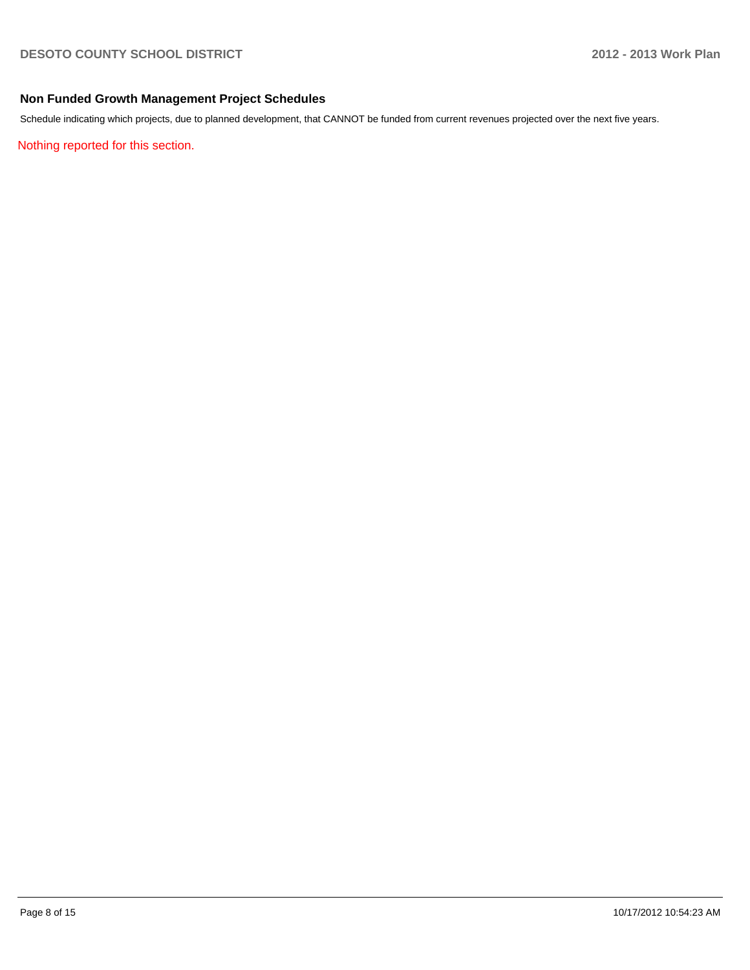## **Non Funded Growth Management Project Schedules**

Schedule indicating which projects, due to planned development, that CANNOT be funded from current revenues projected over the next five years.

Nothing reported for this section.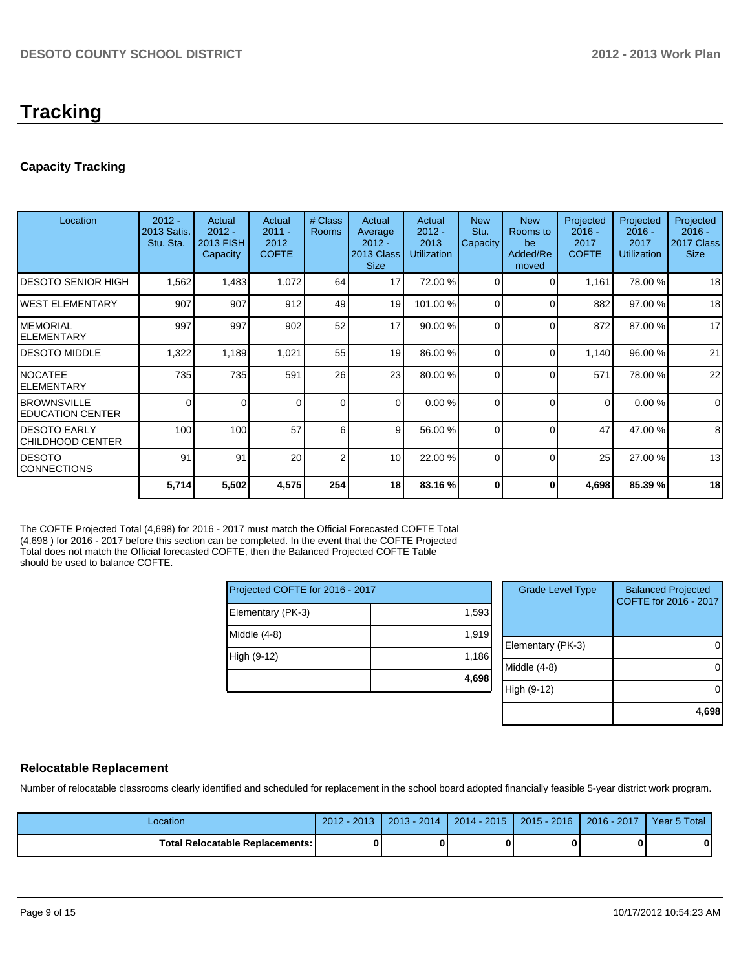# **Tracking**

## **Capacity Tracking**

| Location                                   | $2012 -$<br>2013 Satis.<br>Stu. Sta. | Actual<br>$2012 -$<br><b>2013 FISH</b><br>Capacity | Actual<br>$2011 -$<br>2012<br><b>COFTE</b> | # Class<br><b>Rooms</b> | Actual<br>Average<br>$2012 -$<br>2013 Class<br><b>Size</b> | Actual<br>$2012 -$<br>2013<br><b>Utilization</b> | <b>New</b><br>Stu.<br>Capacity | <b>New</b><br>Rooms to<br>be<br>Added/Re<br>moved | Projected<br>$2016 -$<br>2017<br><b>COFTE</b> | Projected<br>$2016 -$<br>2017<br><b>Utilization</b> | Projected<br>$2016 -$<br>2017 Class<br><b>Size</b> |
|--------------------------------------------|--------------------------------------|----------------------------------------------------|--------------------------------------------|-------------------------|------------------------------------------------------------|--------------------------------------------------|--------------------------------|---------------------------------------------------|-----------------------------------------------|-----------------------------------------------------|----------------------------------------------------|
| IDESOTO SENIOR HIGH                        | 1,562                                | 1,483                                              | 1,072                                      | 64                      | 17                                                         | 72.00 %                                          | $\Omega$                       | $\Omega$                                          | 1,161                                         | 78.00 %                                             | 18                                                 |
| IWEST ELEMENTARY                           | 907                                  | 907                                                | 912                                        | 49                      | 19                                                         | 101.00 %                                         | $\Omega$                       | $\Omega$                                          | 882                                           | 97.00 %                                             | 18                                                 |
| IMEMORIAL<br><b>IELEMENTARY</b>            | 997                                  | 997                                                | 902                                        | 52                      | 17                                                         | 90.00%                                           | $\Omega$                       | $\Omega$                                          | 872                                           | 87.00 %                                             | 17                                                 |
| IDESOTO MIDDLE                             | 1,322                                | 1,189                                              | 1,021                                      | 55                      | 19                                                         | 86.00 %                                          | $\Omega$                       | $\Omega$                                          | 1,140                                         | 96.00 %                                             | 21                                                 |
| INOCATEE<br><b>IELEMENTARY</b>             | 735                                  | 735                                                | 591                                        | 26                      | 23                                                         | 80.00 %                                          | 0                              | $\Omega$                                          | 571                                           | 78.00 %                                             | 22                                                 |
| <b>IBROWNSVILLE</b><br>I EDUCATION CENTER  | 0                                    | $\Omega$                                           | 0                                          | $\Omega$                | $\Omega$                                                   | 0.00%                                            | $\Omega$                       | $\Omega$                                          | $\Omega$                                      | 0.00%                                               | $\mathbf 0$                                        |
| <b>I</b> DESOTO EARLY<br>ICHILDHOOD CENTER | 100                                  | 100                                                | 57                                         | 6                       | $\overline{9}$                                             | 56.00 %                                          | $\Omega$                       | $\Omega$                                          | 47                                            | 47.00 %                                             | 8                                                  |
| IDESOTO<br><b>CONNECTIONS</b>              | 91                                   | 91                                                 | 20                                         | $\overline{2}$          | 10 <sup>1</sup>                                            | 22.00 %                                          | $\Omega$                       | $\Omega$                                          | 25                                            | 27.00 %                                             | 13                                                 |
|                                            | 5,714                                | 5,502                                              | 4,575                                      | 254                     | 18                                                         | 83.16 %                                          | ŋ                              | 0                                                 | 4,698                                         | 85.39 %                                             | 18                                                 |

The COFTE Projected Total (4,698) for 2016 - 2017 must match the Official Forecasted COFTE Total (4,698 ) for 2016 - 2017 before this section can be completed. In the event that the COFTE Projected Total does not match the Official forecasted COFTE, then the Balanced Projected COFTE Table should be used to balance COFTE.

| Projected COFTE for 2016 - 2017 |       |  |  |  |  |  |
|---------------------------------|-------|--|--|--|--|--|
| Elementary (PK-3)               | 1,593 |  |  |  |  |  |
| Middle $(4-8)$                  | 1,919 |  |  |  |  |  |
| High (9-12)                     | 1,186 |  |  |  |  |  |
|                                 | 4,698 |  |  |  |  |  |

| <b>Grade Level Type</b> | <b>Balanced Projected</b><br>COFTE for 2016 - 2017 |
|-------------------------|----------------------------------------------------|
| Elementary (PK-3)       |                                                    |
| Middle $(4-8)$          |                                                    |
| High (9-12)             |                                                    |
|                         | 4.69                                               |

## **Relocatable Replacement**

Number of relocatable classrooms clearly identified and scheduled for replacement in the school board adopted financially feasible 5-year district work program.

| Location                               | $-201.7$<br>2012 | $2013 - 2014$ | $2014 - 2015$ | $2015 - 2016$ | 2016 - 2017 | Year 5 Total |
|----------------------------------------|------------------|---------------|---------------|---------------|-------------|--------------|
| <b>Total Relocatable Replacements:</b> |                  |               |               |               |             | 0            |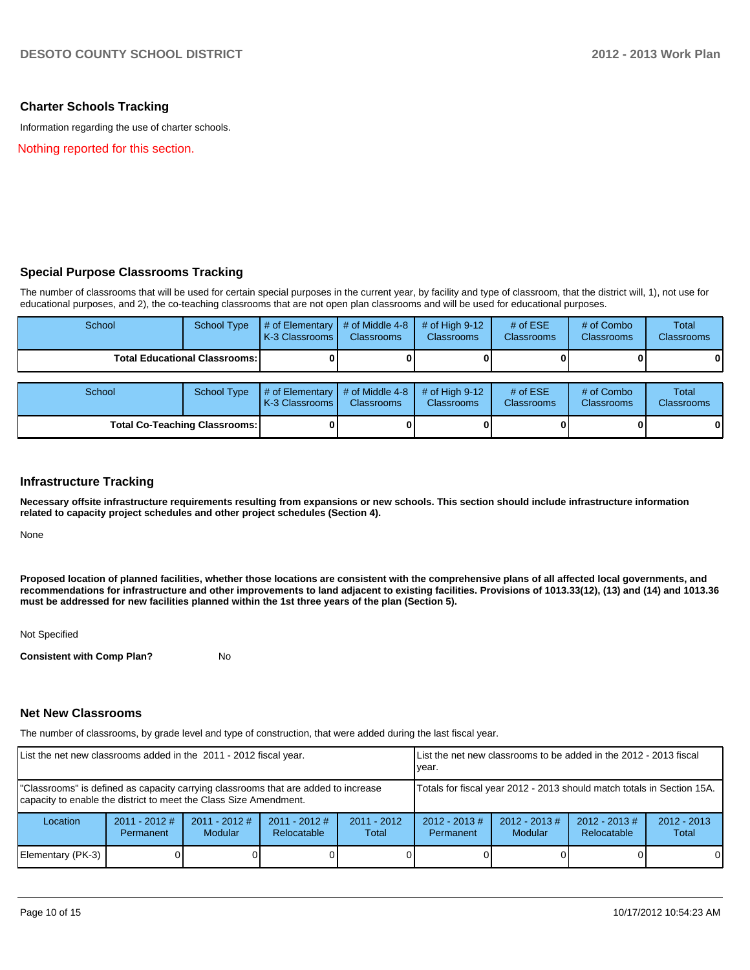## **Charter Schools Tracking**

Information regarding the use of charter schools.

Nothing reported for this section.

## **Special Purpose Classrooms Tracking**

The number of classrooms that will be used for certain special purposes in the current year, by facility and type of classroom, that the district will, 1), not use for educational purposes, and 2), the co-teaching classrooms that are not open plan classrooms and will be used for educational purposes.

| School                                 | School Type | # of Elementary  # of Middle 4-8  # of High 9-12<br>K-3 Classrooms I | <b>Classrooms</b> | <b>Classrooms</b> | # of $ESE$<br><b>Classrooms</b> | # of Combo<br><b>Classrooms</b> | Total<br><b>Classrooms</b> |
|----------------------------------------|-------------|----------------------------------------------------------------------|-------------------|-------------------|---------------------------------|---------------------------------|----------------------------|
| <b>Total Educational Classrooms: I</b> |             |                                                                      |                   |                   | 01                              | $\bf{0}$                        |                            |

| School                               | School Type | $\parallel$ # of Elementary $\parallel$ # of Middle 4-8 $\parallel$ # of High 9-12<br><b>IK-3 Classrooms I</b> | <b>Classrooms</b> | <b>Classrooms</b> | $#$ of ESE<br><b>Classrooms</b> | # of Combo<br><b>Classrooms</b> | Total<br><b>Classrooms</b> |
|--------------------------------------|-------------|----------------------------------------------------------------------------------------------------------------|-------------------|-------------------|---------------------------------|---------------------------------|----------------------------|
| <b>Total Co-Teaching Classrooms:</b> |             |                                                                                                                |                   |                   | 01                              | 0                               | $\mathbf{0}$               |

#### **Infrastructure Tracking**

**Necessary offsite infrastructure requirements resulting from expansions or new schools. This section should include infrastructure information related to capacity project schedules and other project schedules (Section 4).**

None

**Proposed location of planned facilities, whether those locations are consistent with the comprehensive plans of all affected local governments, and recommendations for infrastructure and other improvements to land adjacent to existing facilities. Provisions of 1013.33(12), (13) and (14) and 1013.36 must be addressed for new facilities planned within the 1st three years of the plan (Section 5).**

Not Specified

**Consistent with Comp Plan?** No

#### **Net New Classrooms**

The number of classrooms, by grade level and type of construction, that were added during the last fiscal year.

| List the net new classrooms added in the 2011 - 2012 fiscal year.                                                                                       | Llist the net new classrooms to be added in the 2012 - 2013 fiscal<br>Ivear. |                                   |                                |                        |                                                                        |                            |                                |                        |  |
|---------------------------------------------------------------------------------------------------------------------------------------------------------|------------------------------------------------------------------------------|-----------------------------------|--------------------------------|------------------------|------------------------------------------------------------------------|----------------------------|--------------------------------|------------------------|--|
| "Classrooms" is defined as capacity carrying classrooms that are added to increase<br>capacity to enable the district to meet the Class Size Amendment. |                                                                              |                                   |                                |                        | Totals for fiscal year 2012 - 2013 should match totals in Section 15A. |                            |                                |                        |  |
| Location                                                                                                                                                | $2011 - 2012$ #<br>Permanent                                                 | $2011 - 2012$ #<br><b>Modular</b> | $2011 - 2012$ #<br>Relocatable | $2011 - 2012$<br>Total | $2012 - 2013$ #<br>Permanent                                           | $2012 - 2013$ #<br>Modular | $2012 - 2013$ #<br>Relocatable | $2012 - 2013$<br>Total |  |
| Elementary (PK-3)                                                                                                                                       |                                                                              |                                   |                                |                        |                                                                        |                            |                                | $\Omega$               |  |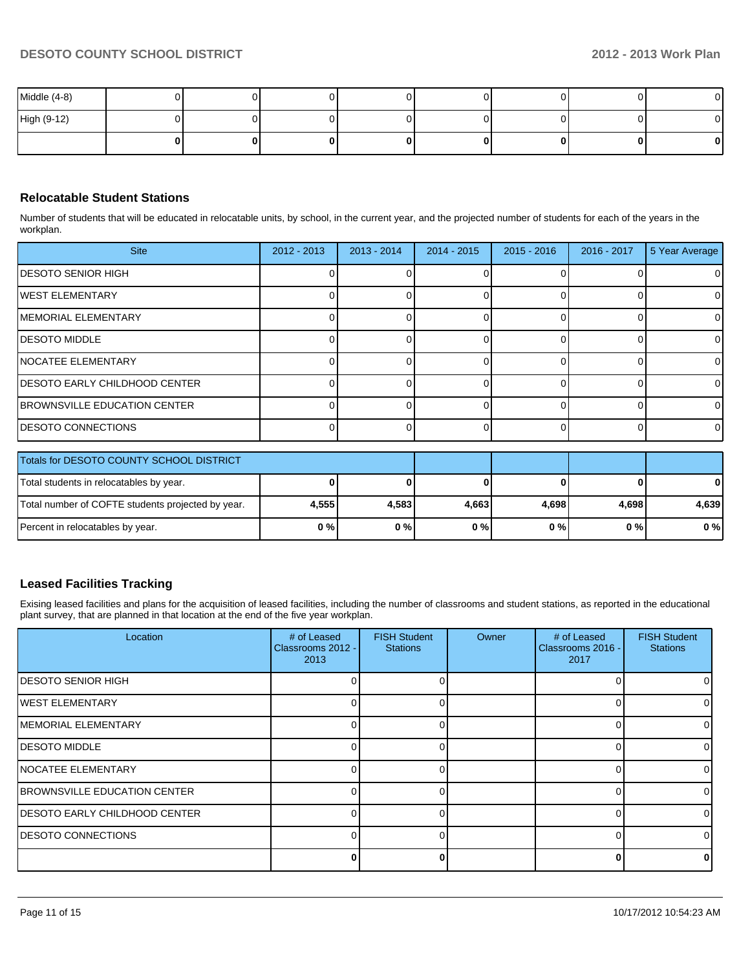| Middle (4-8) |  |  |    |    | $\mathbf{0}$ |
|--------------|--|--|----|----|--------------|
| High (9-12)  |  |  |    |    | $\mathbf{0}$ |
|              |  |  | ΩI | ΩI | $\mathbf{0}$ |

## **Relocatable Student Stations**

Number of students that will be educated in relocatable units, by school, in the current year, and the projected number of students for each of the years in the workplan.

| <b>Site</b>                         | $2012 - 2013$ | $2013 - 2014$ | 2014 - 2015 | $2015 - 2016$ | $2016 - 2017$ | 5 Year Average |
|-------------------------------------|---------------|---------------|-------------|---------------|---------------|----------------|
| <b>IDESOTO SENIOR HIGH</b>          |               |               |             |               |               | 0              |
| <b>IWEST ELEMENTARY</b>             |               |               |             |               |               | 0              |
| MEMORIAL ELEMENTARY                 |               |               |             |               |               | 0              |
| <b>IDESOTO MIDDLE</b>               |               |               |             |               |               | $\Omega$       |
| NOCATEE ELEMENTARY                  |               |               |             |               |               | 0              |
| IDESOTO EARLY CHILDHOOD CENTER      |               |               |             |               |               | 0              |
| <b>BROWNSVILLE EDUCATION CENTER</b> |               |               |             |               |               | $\Omega$       |
| <b>DESOTO CONNECTIONS</b>           |               |               |             |               |               | $\Omega$       |
|                                     |               |               |             |               |               |                |

| Totals for DESOTO COUNTY SCHOOL DISTRICT          |        |        |       |       |       |          |
|---------------------------------------------------|--------|--------|-------|-------|-------|----------|
| Total students in relocatables by year.           |        |        |       |       |       | $\bf{0}$ |
| Total number of COFTE students projected by year. | 4.5551 | 4.5831 | 4.663 | 4.698 | 4.698 | 4.639    |
| Percent in relocatables by year.                  | 0%     | 0%     | $0\%$ | 0 % I | 0 % I | $0\%$    |

## **Leased Facilities Tracking**

Exising leased facilities and plans for the acquisition of leased facilities, including the number of classrooms and student stations, as reported in the educational plant survey, that are planned in that location at the end of the five year workplan.

| Location                              | # of Leased<br>Classrooms 2012 -<br>2013 | <b>FISH Student</b><br><b>Stations</b> | Owner | # of Leased<br>Classrooms 2016 -<br>2017 | <b>FISH Student</b><br><b>Stations</b> |
|---------------------------------------|------------------------------------------|----------------------------------------|-------|------------------------------------------|----------------------------------------|
| IDESOTO SENIOR HIGH                   |                                          |                                        |       |                                          |                                        |
| <b>IWEST ELEMENTARY</b>               |                                          |                                        |       |                                          |                                        |
| IMEMORIAL ELEMENTARY                  |                                          |                                        |       |                                          |                                        |
| <b>DESOTO MIDDLE</b>                  |                                          |                                        |       |                                          |                                        |
| NOCATEE ELEMENTARY                    |                                          |                                        |       |                                          |                                        |
| <b>BROWNSVILLE EDUCATION CENTER</b>   |                                          |                                        |       |                                          |                                        |
| <b>IDESOTO EARLY CHILDHOOD CENTER</b> |                                          |                                        |       |                                          |                                        |
| <b>IDESOTO CONNECTIONS</b>            |                                          |                                        |       |                                          |                                        |
|                                       |                                          |                                        |       |                                          |                                        |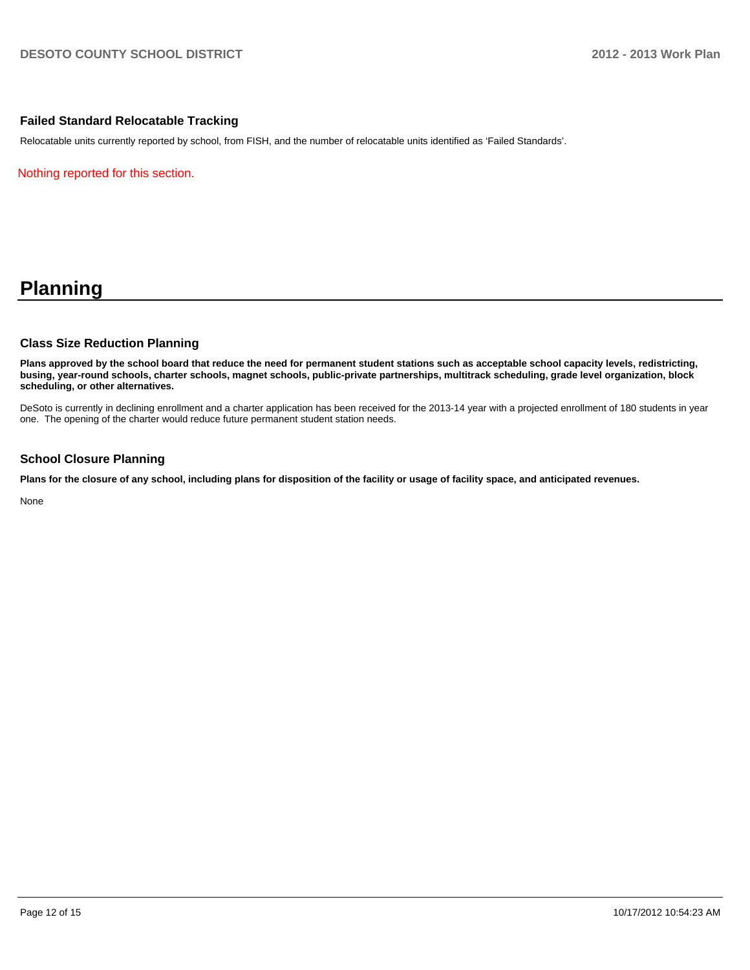## **Failed Standard Relocatable Tracking**

Relocatable units currently reported by school, from FISH, and the number of relocatable units identified as 'Failed Standards'.

Nothing reported for this section.

## **Planning**

#### **Class Size Reduction Planning**

**Plans approved by the school board that reduce the need for permanent student stations such as acceptable school capacity levels, redistricting, busing, year-round schools, charter schools, magnet schools, public-private partnerships, multitrack scheduling, grade level organization, block scheduling, or other alternatives.**

DeSoto is currently in declining enrollment and a charter application has been received for the 2013-14 year with a projected enrollment of 180 students in year one. The opening of the charter would reduce future permanent student station needs.

### **School Closure Planning**

**Plans for the closure of any school, including plans for disposition of the facility or usage of facility space, and anticipated revenues.**

None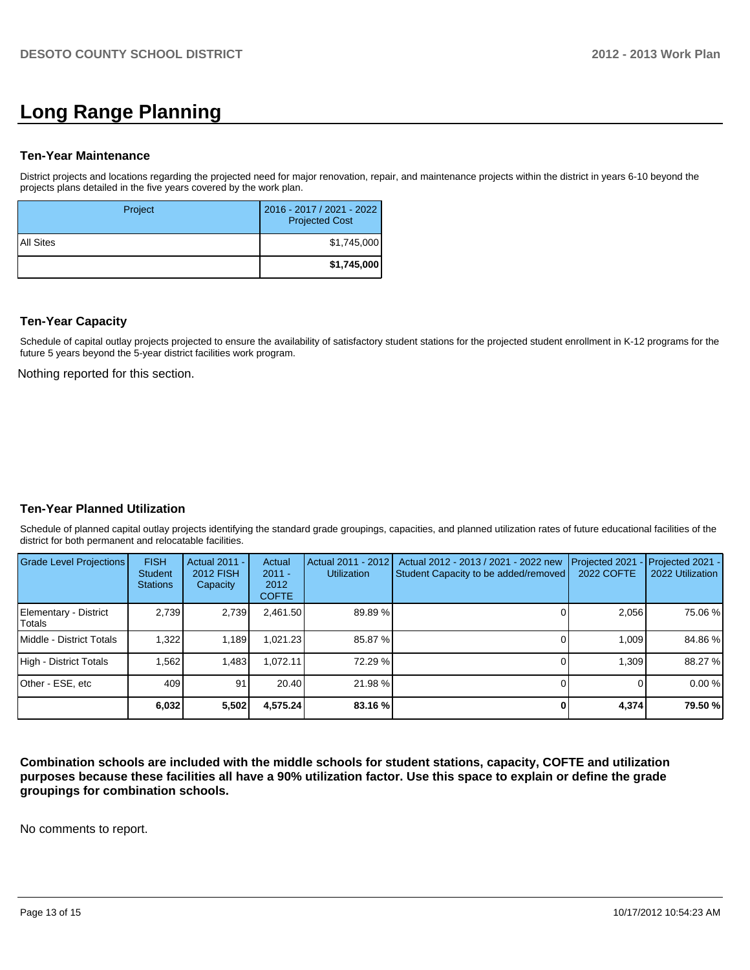# **Long Range Planning**

## **Ten-Year Maintenance**

District projects and locations regarding the projected need for major renovation, repair, and maintenance projects within the district in years 6-10 beyond the projects plans detailed in the five years covered by the work plan.

| Project     | 2016 - 2017 / 2021 - 2022<br><b>Projected Cost</b> |
|-------------|----------------------------------------------------|
| I All Sites | \$1,745,000                                        |
|             | \$1,745,000                                        |

## **Ten-Year Capacity**

Schedule of capital outlay projects projected to ensure the availability of satisfactory student stations for the projected student enrollment in K-12 programs for the future 5 years beyond the 5-year district facilities work program.

Nothing reported for this section.

## **Ten-Year Planned Utilization**

Schedule of planned capital outlay projects identifying the standard grade groupings, capacities, and planned utilization rates of future educational facilities of the district for both permanent and relocatable facilities.

| <b>Grade Level Projections</b>  | <b>FISH</b><br><b>Student</b><br><b>Stations</b> | <b>Actual 2011 -</b><br>2012 FISH<br>Capacity | Actual<br>$2011 -$<br>2012<br><b>COFTE</b> | Actual 2011 - 2012<br><b>Utilization</b> | Actual 2012 - 2013 / 2021 - 2022 new<br>Student Capacity to be added/removed | Projected 2021<br>2022 COFTE | $-$ Projected 2021 -<br>2022 Utilization |
|---------------------------------|--------------------------------------------------|-----------------------------------------------|--------------------------------------------|------------------------------------------|------------------------------------------------------------------------------|------------------------------|------------------------------------------|
| Elementary - District<br>Totals | 2.739                                            | 2,739                                         | 2.461.50                                   | 89.89%                                   |                                                                              | 2.056                        | 75.06 %                                  |
| Middle - District Totals        | 1.322                                            | 1.189                                         | ا021.23. ا                                 | 85.87 %                                  |                                                                              | 1.009                        | 84.86%                                   |
| High - District Totals          | 1.562                                            | 1.483                                         | .072.11                                    | 72.29 %                                  |                                                                              | 1.309                        | 88.27 %                                  |
| Other - ESE, etc                | 409                                              | 91                                            | 20.40                                      | 21.98 %                                  |                                                                              |                              | 0.00%                                    |
|                                 | 6,032                                            | 5,502                                         | 4,575.24                                   | 83.16 %                                  |                                                                              | 4,374                        | 79.50 %                                  |

**Combination schools are included with the middle schools for student stations, capacity, COFTE and utilization purposes because these facilities all have a 90% utilization factor. Use this space to explain or define the grade groupings for combination schools.**

No comments to report.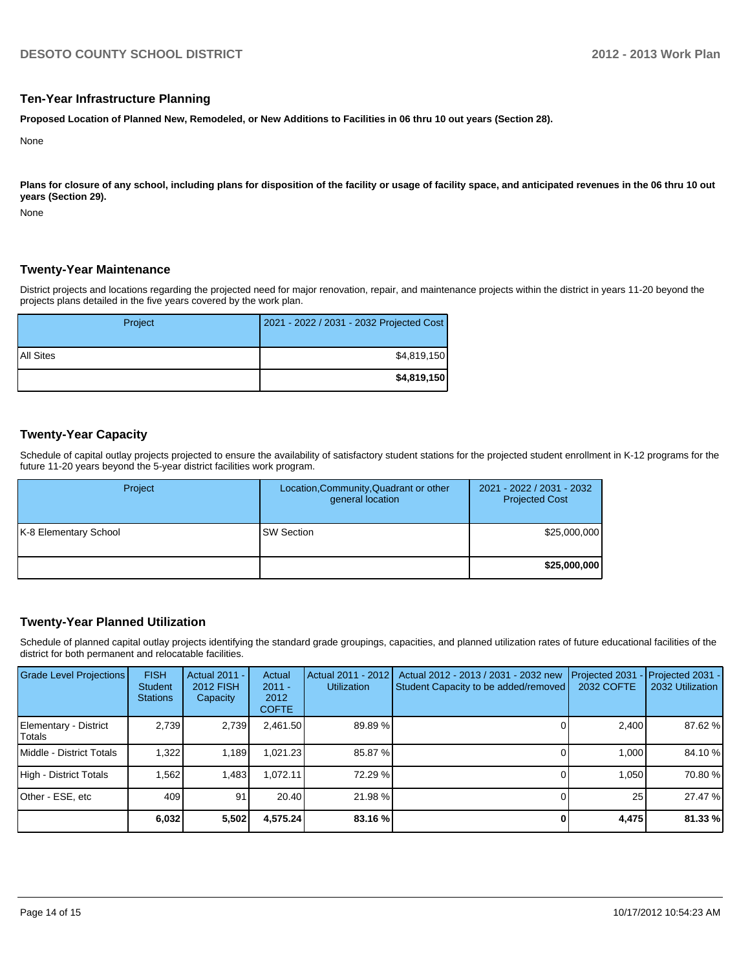### **Ten-Year Infrastructure Planning**

**Proposed Location of Planned New, Remodeled, or New Additions to Facilities in 06 thru 10 out years (Section 28).**

None

Plans for closure of any school, including plans for disposition of the facility or usage of facility space, and anticipated revenues in the 06 thru 10 out **years (Section 29).**

None

## **Twenty-Year Maintenance**

District projects and locations regarding the projected need for major renovation, repair, and maintenance projects within the district in years 11-20 beyond the projects plans detailed in the five years covered by the work plan.

| Project   | 2021 - 2022 / 2031 - 2032 Projected Cost |
|-----------|------------------------------------------|
| All Sites | \$4,819,150                              |
|           | \$4,819,150                              |

## **Twenty-Year Capacity**

Schedule of capital outlay projects projected to ensure the availability of satisfactory student stations for the projected student enrollment in K-12 programs for the future 11-20 years beyond the 5-year district facilities work program.

| Project               | Location, Community, Quadrant or other<br>general location | 2021 - 2022 / 2031 - 2032<br><b>Projected Cost</b> |
|-----------------------|------------------------------------------------------------|----------------------------------------------------|
| K-8 Elementary School | <b>ISW Section</b>                                         | \$25,000,000                                       |
|                       |                                                            | \$25,000,000                                       |

## **Twenty-Year Planned Utilization**

Schedule of planned capital outlay projects identifying the standard grade groupings, capacities, and planned utilization rates of future educational facilities of the district for both permanent and relocatable facilities.

| <b>Grade Level Projections</b>           | <b>FISH</b><br>Student<br><b>Stations</b> | <b>Actual 2011 -</b><br>2012 FISH<br>Capacity | Actual<br>$2011 -$<br>2012<br><b>COFTE</b> | Actual 2011 - 2012<br><b>Utilization</b> | Actual 2012 - 2013 / 2031 - 2032 new<br>Student Capacity to be added/removed | Projected 2031<br>2032 COFTE | Projected 2031 -<br>2032 Utilization |
|------------------------------------------|-------------------------------------------|-----------------------------------------------|--------------------------------------------|------------------------------------------|------------------------------------------------------------------------------|------------------------------|--------------------------------------|
| Elementary - District<br><b>I</b> Totals | 2.739                                     | 2,739                                         | 2,461.50                                   | 89.89 %                                  |                                                                              | 2,400                        | 87.62 %                              |
| <b>IMiddle - District Totals</b>         | 1,322                                     | 1,189                                         | 1.021.23                                   | 85.87 %                                  |                                                                              | 1.000                        | 84.10 %                              |
| High - District Totals                   | 1.562                                     | 1.483                                         | 1.072.11                                   | 72.29 %                                  |                                                                              | 1.050                        | 70.80 %                              |
| IOther - ESE. etc                        | 409                                       | 91                                            | 20.40                                      | 21.98 %                                  |                                                                              | 25 <sub>1</sub>              | 27.47 %                              |
|                                          | 6,032                                     | 5,502                                         | 4,575.24                                   | 83.16 %                                  |                                                                              | 4,475                        | 81.33 %                              |